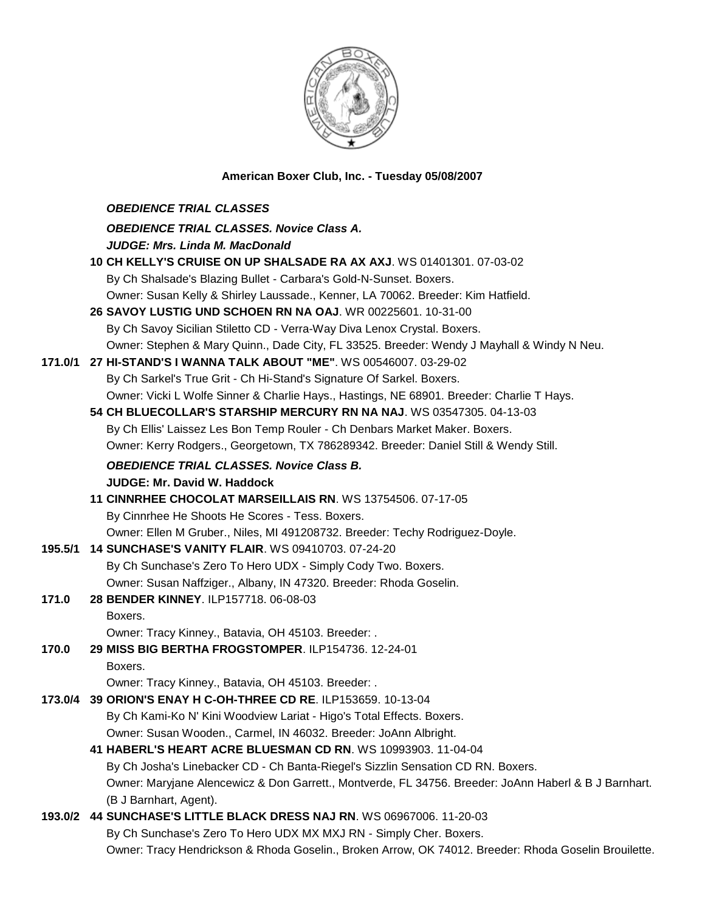

## **American Boxer Club, Inc. - Tuesday 05/08/2007**

|         | <b>OBEDIENCE TRIAL CLASSES</b>                                                                        |
|---------|-------------------------------------------------------------------------------------------------------|
|         | <b>OBEDIENCE TRIAL CLASSES. Novice Class A.</b>                                                       |
|         | <b>JUDGE: Mrs. Linda M. MacDonald</b>                                                                 |
|         | 10 CH KELLY'S CRUISE ON UP SHALSADE RA AX AXJ. WS 01401301. 07-03-02                                  |
|         | By Ch Shalsade's Blazing Bullet - Carbara's Gold-N-Sunset. Boxers.                                    |
|         | Owner: Susan Kelly & Shirley Laussade., Kenner, LA 70062. Breeder: Kim Hatfield.                      |
|         | 26 SAVOY LUSTIG UND SCHOEN RN NA OAJ. WR 00225601. 10-31-00                                           |
|         | By Ch Savoy Sicilian Stiletto CD - Verra-Way Diva Lenox Crystal. Boxers.                              |
|         | Owner: Stephen & Mary Quinn., Dade City, FL 33525. Breeder: Wendy J Mayhall & Windy N Neu.            |
| 171.0/1 | 27 HI-STAND'S I WANNA TALK ABOUT "ME". WS 00546007. 03-29-02                                          |
|         | By Ch Sarkel's True Grit - Ch Hi-Stand's Signature Of Sarkel. Boxers.                                 |
|         | Owner: Vicki L Wolfe Sinner & Charlie Hays., Hastings, NE 68901. Breeder: Charlie T Hays.             |
|         | 54 CH BLUECOLLAR'S STARSHIP MERCURY RN NA NAJ. WS 03547305. 04-13-03                                  |
|         | By Ch Ellis' Laissez Les Bon Temp Rouler - Ch Denbars Market Maker. Boxers.                           |
|         | Owner: Kerry Rodgers., Georgetown, TX 786289342. Breeder: Daniel Still & Wendy Still.                 |
|         | <b>OBEDIENCE TRIAL CLASSES. Novice Class B.</b>                                                       |
|         | <b>JUDGE: Mr. David W. Haddock</b>                                                                    |
|         | 11 CINNRHEE CHOCOLAT MARSEILLAIS RN. WS 13754506. 07-17-05                                            |
|         | By Cinnrhee He Shoots He Scores - Tess. Boxers.                                                       |
|         | Owner: Ellen M Gruber., Niles, MI 491208732. Breeder: Techy Rodriguez-Doyle.                          |
| 195.5/1 | 14 SUNCHASE'S VANITY FLAIR. WS 09410703. 07-24-20                                                     |
|         | By Ch Sunchase's Zero To Hero UDX - Simply Cody Two. Boxers.                                          |
|         | Owner: Susan Naffziger., Albany, IN 47320. Breeder: Rhoda Goselin.                                    |
| 171.0   | 28 BENDER KINNEY. ILP157718. 06-08-03                                                                 |
|         | Boxers.                                                                                               |
|         | Owner: Tracy Kinney., Batavia, OH 45103. Breeder: .                                                   |
| 170.0   | 29 MISS BIG BERTHA FROGSTOMPER. ILP154736. 12-24-01                                                   |
|         | Boxers.                                                                                               |
|         | Owner: Tracy Kinney., Batavia, OH 45103. Breeder: .                                                   |
|         | 173.0/4 39 ORION'S ENAY H C-OH-THREE CD RE. ILP153659. 10-13-04                                       |
|         | By Ch Kami-Ko N' Kini Woodview Lariat - Higo's Total Effects. Boxers.                                 |
|         | Owner: Susan Wooden., Carmel, IN 46032. Breeder: JoAnn Albright.                                      |
|         | 41 HABERL'S HEART ACRE BLUESMAN CD RN. WS 10993903. 11-04-04                                          |
|         | By Ch Josha's Linebacker CD - Ch Banta-Riegel's Sizzlin Sensation CD RN. Boxers.                      |
|         | Owner: Maryjane Alencewicz & Don Garrett., Montverde, FL 34756. Breeder: JoAnn Haberl & B J Barnhart. |
|         | (B J Barnhart, Agent).                                                                                |
| 193.0/2 | 44 SUNCHASE'S LITTLE BLACK DRESS NAJ RN. WS 06967006. 11-20-03                                        |
|         | By Ch Sunchase's Zero To Hero UDX MX MXJ RN - Simply Cher. Boxers.                                    |
|         | Owner: Tracy Hendrickson & Rhoda Goselin., Broken Arrow, OK 74012. Breeder: Rhoda Goselin Brouilette. |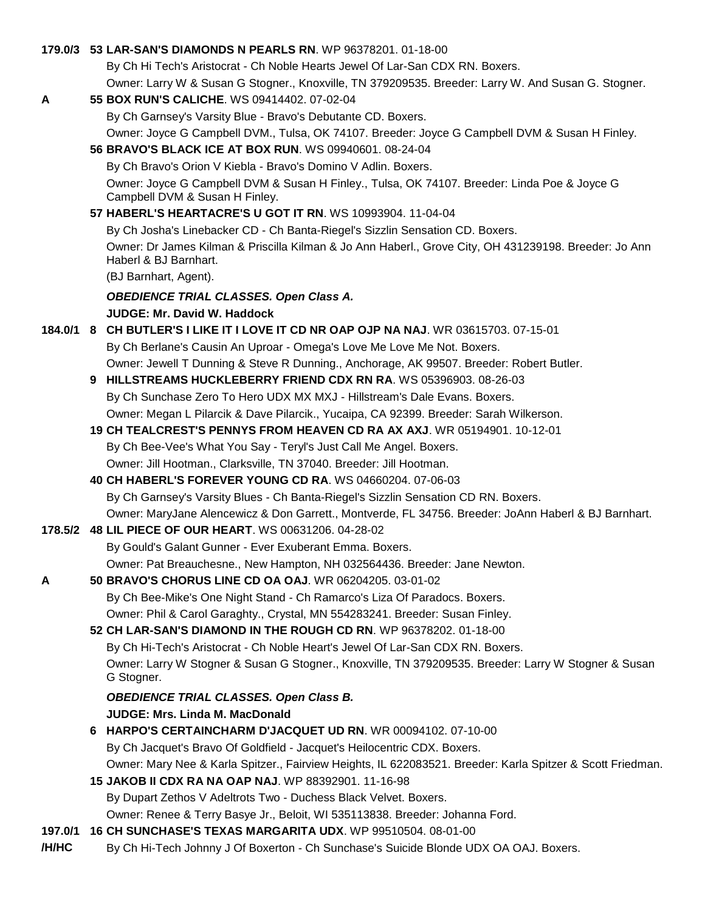### **179.0/3 53 LAR-SAN'S DIAMONDS N PEARLS RN**. WP 96378201. 01-18-00

By Ch Hi Tech's Aristocrat - Ch Noble Hearts Jewel Of Lar-San CDX RN. Boxers.

Owner: Larry W & Susan G Stogner., Knoxville, TN 379209535. Breeder: Larry W. And Susan G. Stogner.

#### **A 55 BOX RUN'S CALICHE**. WS 09414402. 07-02-04

By Ch Garnsey's Varsity Blue - Bravo's Debutante CD. Boxers.

Owner: Joyce G Campbell DVM., Tulsa, OK 74107. Breeder: Joyce G Campbell DVM & Susan H Finley. **56 BRAVO'S BLACK ICE AT BOX RUN**. WS 09940601. 08-24-04

By Ch Bravo's Orion V Kiebla - Bravo's Domino V Adlin. Boxers.

Owner: Joyce G Campbell DVM & Susan H Finley., Tulsa, OK 74107. Breeder: Linda Poe & Joyce G Campbell DVM & Susan H Finley.

**57 HABERL'S HEARTACRE'S U GOT IT RN**. WS 10993904. 11-04-04

By Ch Josha's Linebacker CD - Ch Banta-Riegel's Sizzlin Sensation CD. Boxers.

Owner: Dr James Kilman & Priscilla Kilman & Jo Ann Haberl., Grove City, OH 431239198. Breeder: Jo Ann Haberl & BJ Barnhart.

(BJ Barnhart, Agent).

## *OBEDIENCE TRIAL CLASSES. Open Class A.*

**JUDGE: Mr. David W. Haddock** 

- **184.0/1 8 CH BUTLER'S I LIKE IT I LOVE IT CD NR OAP OJP NA NAJ**. WR 03615703. 07-15-01 By Ch Berlane's Causin An Uproar - Omega's Love Me Love Me Not. Boxers. Owner: Jewell T Dunning & Steve R Dunning., Anchorage, AK 99507. Breeder: Robert Butler.
	- **9 HILLSTREAMS HUCKLEBERRY FRIEND CDX RN RA**. WS 05396903. 08-26-03 By Ch Sunchase Zero To Hero UDX MX MXJ - Hillstream's Dale Evans. Boxers. Owner: Megan L Pilarcik & Dave Pilarcik., Yucaipa, CA 92399. Breeder: Sarah Wilkerson.
	- **19 CH TEALCREST'S PENNYS FROM HEAVEN CD RA AX AXJ**. WR 05194901. 10-12-01 By Ch Bee-Vee's What You Say - Teryl's Just Call Me Angel. Boxers. Owner: Jill Hootman., Clarksville, TN 37040. Breeder: Jill Hootman.
	- **40 CH HABERL'S FOREVER YOUNG CD RA**. WS 04660204. 07-06-03 By Ch Garnsey's Varsity Blues - Ch Banta-Riegel's Sizzlin Sensation CD RN. Boxers. Owner: MaryJane Alencewicz & Don Garrett., Montverde, FL 34756. Breeder: JoAnn Haberl & BJ Barnhart.
- **178.5/2 48 LIL PIECE OF OUR HEART**. WS 00631206. 04-28-02 By Gould's Galant Gunner - Ever Exuberant Emma. Boxers. Owner: Pat Breauchesne., New Hampton, NH 032564436. Breeder: Jane Newton.
- **A 50 BRAVO'S CHORUS LINE CD OA OAJ**. WR 06204205. 03-01-02 By Ch Bee-Mike's One Night Stand - Ch Ramarco's Liza Of Paradocs. Boxers. Owner: Phil & Carol Garaghty., Crystal, MN 554283241. Breeder: Susan Finley.
	- **52 CH LAR-SAN'S DIAMOND IN THE ROUGH CD RN**. WP 96378202. 01-18-00 By Ch Hi-Tech's Aristocrat - Ch Noble Heart's Jewel Of Lar-San CDX RN. Boxers. Owner: Larry W Stogner & Susan G Stogner., Knoxville, TN 379209535. Breeder: Larry W Stogner & Susan G Stogner.

# *OBEDIENCE TRIAL CLASSES. Open Class B.* **JUDGE: Mrs. Linda M. MacDonald**

- **6 HARPO'S CERTAINCHARM D'JACQUET UD RN**. WR 00094102. 07-10-00 By Ch Jacquet's Bravo Of Goldfield - Jacquet's Heilocentric CDX. Boxers. Owner: Mary Nee & Karla Spitzer., Fairview Heights, IL 622083521. Breeder: Karla Spitzer & Scott Friedman.
- **15 JAKOB II CDX RA NA OAP NAJ**. WP 88392901. 11-16-98

By Dupart Zethos V Adeltrots Two - Duchess Black Velvet. Boxers.

Owner: Renee & Terry Basye Jr., Beloit, WI 535113838. Breeder: Johanna Ford.

- **197.0/1 16 CH SUNCHASE'S TEXAS MARGARITA UDX**. WP 99510504. 08-01-00
- **/H/HC** By Ch Hi-Tech Johnny J Of Boxerton Ch Sunchase's Suicide Blonde UDX OA OAJ. Boxers.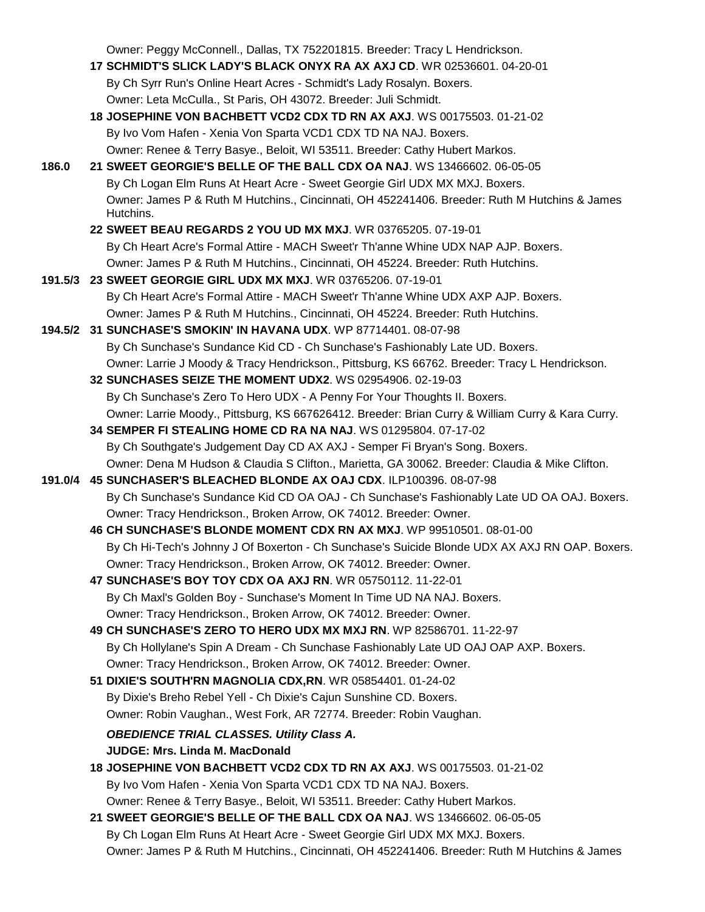Owner: Peggy McConnell., Dallas, TX 752201815. Breeder: Tracy L Hendrickson.

- **17 SCHMIDT'S SLICK LADY'S BLACK ONYX RA AX AXJ CD**. WR 02536601. 04-20-01 By Ch Syrr Run's Online Heart Acres - Schmidt's Lady Rosalyn. Boxers. Owner: Leta McCulla., St Paris, OH 43072. Breeder: Juli Schmidt.
- **18 JOSEPHINE VON BACHBETT VCD2 CDX TD RN AX AXJ**. WS 00175503. 01-21-02 By Ivo Vom Hafen - Xenia Von Sparta VCD1 CDX TD NA NAJ. Boxers. Owner: Renee & Terry Basye., Beloit, WI 53511. Breeder: Cathy Hubert Markos.
- **186.0 21 SWEET GEORGIE'S BELLE OF THE BALL CDX OA NAJ**. WS 13466602. 06-05-05 By Ch Logan Elm Runs At Heart Acre - Sweet Georgie Girl UDX MX MXJ. Boxers. Owner: James P & Ruth M Hutchins., Cincinnati, OH 452241406. Breeder: Ruth M Hutchins & James Hutchins.
	- **22 SWEET BEAU REGARDS 2 YOU UD MX MXJ**. WR 03765205. 07-19-01 By Ch Heart Acre's Formal Attire - MACH Sweet'r Th'anne Whine UDX NAP AJP. Boxers. Owner: James P & Ruth M Hutchins., Cincinnati, OH 45224. Breeder: Ruth Hutchins.
- **191.5/3 23 SWEET GEORGIE GIRL UDX MX MXJ**. WR 03765206. 07-19-01 By Ch Heart Acre's Formal Attire - MACH Sweet'r Th'anne Whine UDX AXP AJP. Boxers. Owner: James P & Ruth M Hutchins., Cincinnati, OH 45224. Breeder: Ruth Hutchins.
- **194.5/2 31 SUNCHASE'S SMOKIN' IN HAVANA UDX**. WP 87714401. 08-07-98 By Ch Sunchase's Sundance Kid CD - Ch Sunchase's Fashionably Late UD. Boxers. Owner: Larrie J Moody & Tracy Hendrickson., Pittsburg, KS 66762. Breeder: Tracy L Hendrickson.
	- **32 SUNCHASES SEIZE THE MOMENT UDX2**. WS 02954906. 02-19-03 By Ch Sunchase's Zero To Hero UDX - A Penny For Your Thoughts II. Boxers. Owner: Larrie Moody., Pittsburg, KS 667626412. Breeder: Brian Curry & William Curry & Kara Curry.
	- **34 SEMPER FI STEALING HOME CD RA NA NAJ**. WS 01295804. 07-17-02 By Ch Southgate's Judgement Day CD AX AXJ - Semper Fi Bryan's Song. Boxers. Owner: Dena M Hudson & Claudia S Clifton., Marietta, GA 30062. Breeder: Claudia & Mike Clifton.
- **191.0/4 45 SUNCHASER'S BLEACHED BLONDE AX OAJ CDX**. ILP100396. 08-07-98 By Ch Sunchase's Sundance Kid CD OA OAJ - Ch Sunchase's Fashionably Late UD OA OAJ. Boxers. Owner: Tracy Hendrickson., Broken Arrow, OK 74012. Breeder: Owner.
	- **46 CH SUNCHASE'S BLONDE MOMENT CDX RN AX MXJ**. WP 99510501. 08-01-00 By Ch Hi-Tech's Johnny J Of Boxerton - Ch Sunchase's Suicide Blonde UDX AX AXJ RN OAP. Boxers. Owner: Tracy Hendrickson., Broken Arrow, OK 74012. Breeder: Owner.
	- **47 SUNCHASE'S BOY TOY CDX OA AXJ RN**. WR 05750112. 11-22-01 By Ch Maxl's Golden Boy - Sunchase's Moment In Time UD NA NAJ. Boxers. Owner: Tracy Hendrickson., Broken Arrow, OK 74012. Breeder: Owner.
	- **49 CH SUNCHASE'S ZERO TO HERO UDX MX MXJ RN**. WP 82586701. 11-22-97 By Ch Hollylane's Spin A Dream - Ch Sunchase Fashionably Late UD OAJ OAP AXP. Boxers. Owner: Tracy Hendrickson., Broken Arrow, OK 74012. Breeder: Owner.
	- **51 DIXIE'S SOUTH'RN MAGNOLIA CDX,RN**. WR 05854401. 01-24-02 By Dixie's Breho Rebel Yell - Ch Dixie's Cajun Sunshine CD. Boxers. Owner: Robin Vaughan., West Fork, AR 72774. Breeder: Robin Vaughan.
		- *OBEDIENCE TRIAL CLASSES. Utility Class A.* **JUDGE: Mrs. Linda M. MacDonald**
	- **18 JOSEPHINE VON BACHBETT VCD2 CDX TD RN AX AXJ**. WS 00175503. 01-21-02 By Ivo Vom Hafen - Xenia Von Sparta VCD1 CDX TD NA NAJ. Boxers. Owner: Renee & Terry Basye., Beloit, WI 53511. Breeder: Cathy Hubert Markos.
	- **21 SWEET GEORGIE'S BELLE OF THE BALL CDX OA NAJ**. WS 13466602. 06-05-05 By Ch Logan Elm Runs At Heart Acre - Sweet Georgie Girl UDX MX MXJ. Boxers. Owner: James P & Ruth M Hutchins., Cincinnati, OH 452241406. Breeder: Ruth M Hutchins & James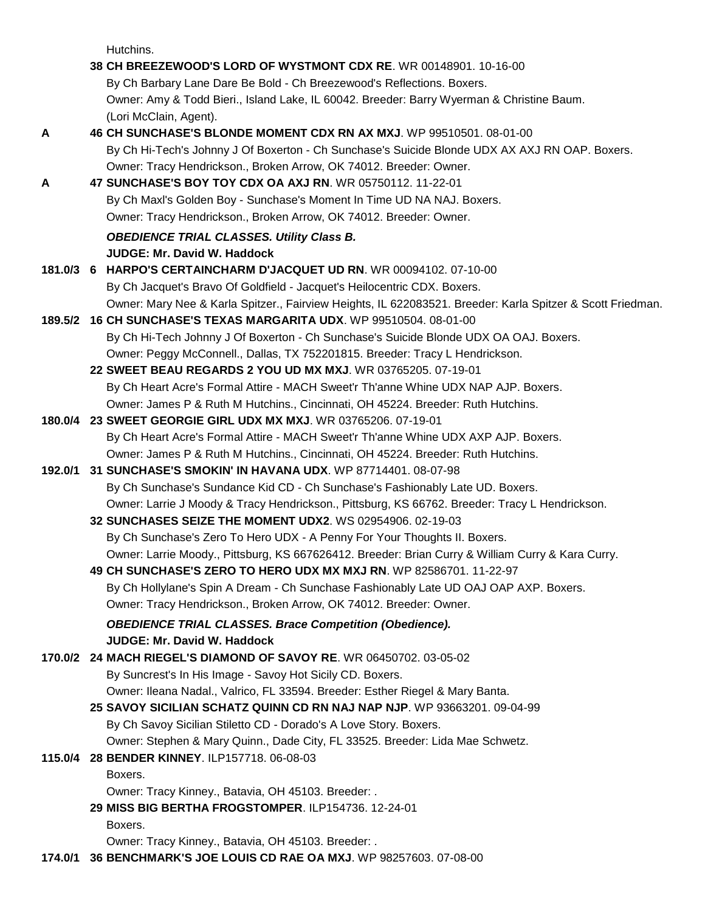Hutchins.

|         | 38 CH BREEZEWOOD'S LORD OF WYSTMONT CDX RE. WR 00148901. 10-16-00                                          |
|---------|------------------------------------------------------------------------------------------------------------|
|         | By Ch Barbary Lane Dare Be Bold - Ch Breezewood's Reflections. Boxers.                                     |
|         | Owner: Amy & Todd Bieri., Island Lake, IL 60042. Breeder: Barry Wyerman & Christine Baum.                  |
|         | (Lori McClain, Agent).                                                                                     |
| Α       | 46 CH SUNCHASE'S BLONDE MOMENT CDX RN AX MXJ. WP 99510501. 08-01-00                                        |
|         | By Ch Hi-Tech's Johnny J Of Boxerton - Ch Sunchase's Suicide Blonde UDX AX AXJ RN OAP. Boxers.             |
|         | Owner: Tracy Hendrickson., Broken Arrow, OK 74012. Breeder: Owner.                                         |
| Α       | 47 SUNCHASE'S BOY TOY CDX OA AXJ RN. WR 05750112. 11-22-01                                                 |
|         | By Ch Maxl's Golden Boy - Sunchase's Moment In Time UD NA NAJ. Boxers.                                     |
|         | Owner: Tracy Hendrickson., Broken Arrow, OK 74012. Breeder: Owner.                                         |
|         | <b>OBEDIENCE TRIAL CLASSES. Utility Class B.</b>                                                           |
|         | <b>JUDGE: Mr. David W. Haddock</b>                                                                         |
|         | 181.0/3 6 HARPO'S CERTAINCHARM D'JACQUET UD RN. WR 00094102. 07-10-00                                      |
|         | By Ch Jacquet's Bravo Of Goldfield - Jacquet's Heilocentric CDX. Boxers.                                   |
|         | Owner: Mary Nee & Karla Spitzer., Fairview Heights, IL 622083521. Breeder: Karla Spitzer & Scott Friedman. |
| 189.5/2 | 16 CH SUNCHASE'S TEXAS MARGARITA UDX. WP 99510504. 08-01-00                                                |
|         | By Ch Hi-Tech Johnny J Of Boxerton - Ch Sunchase's Suicide Blonde UDX OA OAJ. Boxers.                      |
|         | Owner: Peggy McConnell., Dallas, TX 752201815. Breeder: Tracy L Hendrickson.                               |
|         | 22 SWEET BEAU REGARDS 2 YOU UD MX MXJ. WR 03765205. 07-19-01                                               |
|         | By Ch Heart Acre's Formal Attire - MACH Sweet'r Th'anne Whine UDX NAP AJP. Boxers.                         |
|         | Owner: James P & Ruth M Hutchins., Cincinnati, OH 45224. Breeder: Ruth Hutchins.                           |
|         | 180.0/4 23 SWEET GEORGIE GIRL UDX MX MXJ. WR 03765206. 07-19-01                                            |
|         | By Ch Heart Acre's Formal Attire - MACH Sweet'r Th'anne Whine UDX AXP AJP. Boxers.                         |
|         | Owner: James P & Ruth M Hutchins., Cincinnati, OH 45224. Breeder: Ruth Hutchins.                           |
| 192.0/1 | 31 SUNCHASE'S SMOKIN' IN HAVANA UDX. WP 87714401. 08-07-98                                                 |
|         | By Ch Sunchase's Sundance Kid CD - Ch Sunchase's Fashionably Late UD. Boxers.                              |
|         | Owner: Larrie J Moody & Tracy Hendrickson., Pittsburg, KS 66762. Breeder: Tracy L Hendrickson.             |
|         | 32 SUNCHASES SEIZE THE MOMENT UDX2. WS 02954906. 02-19-03                                                  |
|         | By Ch Sunchase's Zero To Hero UDX - A Penny For Your Thoughts II. Boxers.                                  |
|         | Owner: Larrie Moody., Pittsburg, KS 667626412. Breeder: Brian Curry & William Curry & Kara Curry.          |
|         | 49 CH SUNCHASE'S ZERO TO HERO UDX MX MXJ RN. WP 82586701. 11-22-97                                         |
|         | By Ch Hollylane's Spin A Dream - Ch Sunchase Fashionably Late UD OAJ OAP AXP. Boxers.                      |
|         | Owner: Tracy Hendrickson., Broken Arrow, OK 74012. Breeder: Owner.                                         |
|         | <b>OBEDIENCE TRIAL CLASSES. Brace Competition (Obedience).</b>                                             |
|         | JUDGE: Mr. David W. Haddock                                                                                |
| 170.0/2 | 24 MACH RIEGEL'S DIAMOND OF SAVOY RE. WR 06450702. 03-05-02                                                |
|         | By Suncrest's In His Image - Savoy Hot Sicily CD. Boxers.                                                  |
|         | Owner: Ileana Nadal., Valrico, FL 33594. Breeder: Esther Riegel & Mary Banta.                              |
|         | 25 SAVOY SICILIAN SCHATZ QUINN CD RN NAJ NAP NJP. WP 93663201. 09-04-99                                    |
|         | By Ch Savoy Sicilian Stiletto CD - Dorado's A Love Story. Boxers.                                          |
|         | Owner: Stephen & Mary Quinn., Dade City, FL 33525. Breeder: Lida Mae Schwetz.                              |
| 115.0/4 | 28 BENDER KINNEY. ILP157718. 06-08-03                                                                      |
|         | Boxers.                                                                                                    |
|         | Owner: Tracy Kinney., Batavia, OH 45103. Breeder: .                                                        |
|         | 29 MISS BIG BERTHA FROGSTOMPER. ILP154736. 12-24-01                                                        |
|         | Boxers.                                                                                                    |
|         | Owner: Tracy Kinney., Batavia, OH 45103. Breeder: .                                                        |
| 174.0/1 | 36 BENCHMARK'S JOE LOUIS CD RAE OA MXJ. WP 98257603. 07-08-00                                              |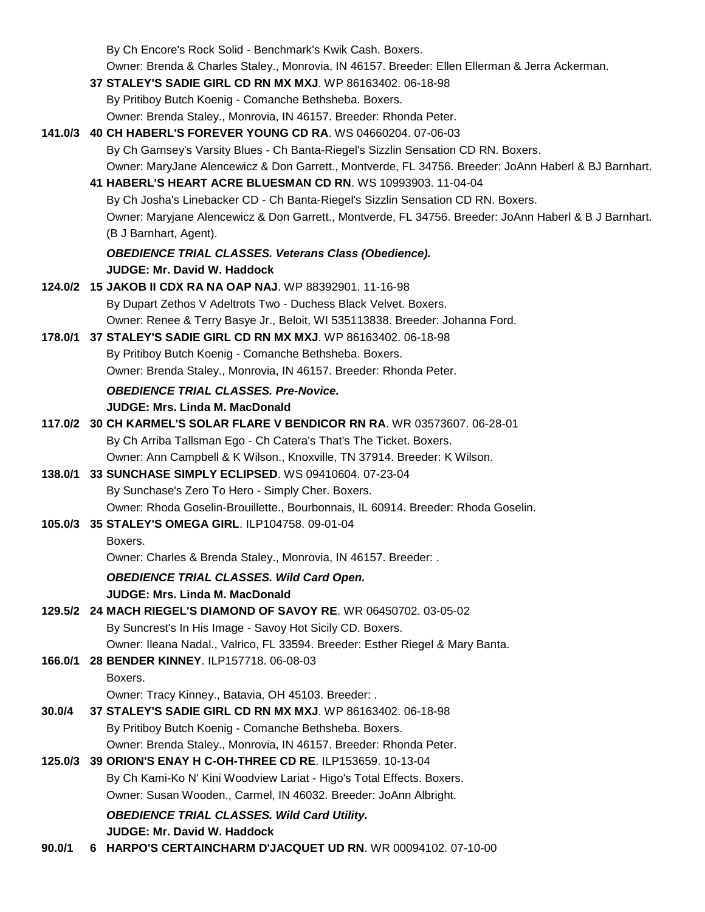|         | By Ch Encore's Rock Solid - Benchmark's Kwik Cash. Boxers.                                                                                                   |
|---------|--------------------------------------------------------------------------------------------------------------------------------------------------------------|
|         | Owner: Brenda & Charles Staley., Monrovia, IN 46157. Breeder: Ellen Ellerman & Jerra Ackerman.<br>37 STALEY'S SADIE GIRL CD RN MX MXJ. WP 86163402. 06-18-98 |
|         | By Pritiboy Butch Koenig - Comanche Bethsheba. Boxers.                                                                                                       |
|         | Owner: Brenda Staley., Monrovia, IN 46157. Breeder: Rhonda Peter.                                                                                            |
|         | 141.0/3 40 CH HABERL'S FOREVER YOUNG CD RA. WS 04660204. 07-06-03                                                                                            |
|         | By Ch Garnsey's Varsity Blues - Ch Banta-Riegel's Sizzlin Sensation CD RN. Boxers.                                                                           |
|         | Owner: MaryJane Alencewicz & Don Garrett., Montverde, FL 34756. Breeder: JoAnn Haberl & BJ Barnhart.                                                         |
|         | 41 HABERL'S HEART ACRE BLUESMAN CD RN. WS 10993903. 11-04-04                                                                                                 |
|         | By Ch Josha's Linebacker CD - Ch Banta-Riegel's Sizzlin Sensation CD RN. Boxers.                                                                             |
|         | Owner: Maryjane Alencewicz & Don Garrett., Montverde, FL 34756. Breeder: JoAnn Haberl & B J Barnhart.                                                        |
|         | (B J Barnhart, Agent).                                                                                                                                       |
|         | <b>OBEDIENCE TRIAL CLASSES. Veterans Class (Obedience).</b>                                                                                                  |
|         | <b>JUDGE: Mr. David W. Haddock</b>                                                                                                                           |
|         | 124.0/2 15 JAKOB II CDX RA NA OAP NAJ. WP 88392901. 11-16-98                                                                                                 |
|         | By Dupart Zethos V Adeltrots Two - Duchess Black Velvet. Boxers.                                                                                             |
|         | Owner: Renee & Terry Basye Jr., Beloit, WI 535113838. Breeder: Johanna Ford.                                                                                 |
| 178.0/1 | 37 STALEY'S SADIE GIRL CD RN MX MXJ. WP 86163402. 06-18-98                                                                                                   |
|         | By Pritiboy Butch Koenig - Comanche Bethsheba. Boxers.                                                                                                       |
|         | Owner: Brenda Staley., Monrovia, IN 46157. Breeder: Rhonda Peter.                                                                                            |
|         | <b>OBEDIENCE TRIAL CLASSES. Pre-Novice.</b>                                                                                                                  |
|         | <b>JUDGE: Mrs. Linda M. MacDonald</b>                                                                                                                        |
|         | 117.0/2 30 CH KARMEL'S SOLAR FLARE V BENDICOR RN RA. WR 03573607. 06-28-01                                                                                   |
|         | By Ch Arriba Tallsman Ego - Ch Catera's That's The Ticket. Boxers.                                                                                           |
|         | Owner: Ann Campbell & K Wilson., Knoxville, TN 37914. Breeder: K Wilson.                                                                                     |
| 138.0/1 | 33 SUNCHASE SIMPLY ECLIPSED. WS 09410604. 07-23-04<br>By Sunchase's Zero To Hero - Simply Cher. Boxers.                                                      |
|         | Owner: Rhoda Goselin-Brouillette., Bourbonnais, IL 60914. Breeder: Rhoda Goselin.                                                                            |
|         | 105.0/3 35 STALEY'S OMEGA GIRL. ILP104758. 09-01-04                                                                                                          |
|         | Boxers.                                                                                                                                                      |
|         | Owner: Charles & Brenda Staley., Monrovia, IN 46157. Breeder: .                                                                                              |
|         | <b>OBEDIENCE TRIAL CLASSES. Wild Card Open.</b>                                                                                                              |
|         | <b>JUDGE: Mrs. Linda M. MacDonald</b>                                                                                                                        |
|         | 129.5/2 24 MACH RIEGEL'S DIAMOND OF SAVOY RE. WR 06450702. 03-05-02                                                                                          |
|         | By Suncrest's In His Image - Savoy Hot Sicily CD. Boxers.                                                                                                    |
|         | Owner: Ileana Nadal., Valrico, FL 33594. Breeder: Esther Riegel & Mary Banta.                                                                                |
| 166.0/1 | 28 BENDER KINNEY. ILP157718. 06-08-03                                                                                                                        |
|         | Boxers.                                                                                                                                                      |
|         | Owner: Tracy Kinney., Batavia, OH 45103. Breeder: .                                                                                                          |
| 30.0/4  | 37 STALEY'S SADIE GIRL CD RN MX MXJ. WP 86163402. 06-18-98                                                                                                   |
|         | By Pritiboy Butch Koenig - Comanche Bethsheba. Boxers.                                                                                                       |
|         | Owner: Brenda Staley., Monrovia, IN 46157. Breeder: Rhonda Peter.                                                                                            |
| 125.0/3 | 39 ORION'S ENAY H C-OH-THREE CD RE. ILP153659. 10-13-04                                                                                                      |
|         | By Ch Kami-Ko N' Kini Woodview Lariat - Higo's Total Effects. Boxers.                                                                                        |
|         | Owner: Susan Wooden., Carmel, IN 46032. Breeder: JoAnn Albright.                                                                                             |
|         | <b>OBEDIENCE TRIAL CLASSES. Wild Card Utility.</b>                                                                                                           |
|         | <b>JUDGE: Mr. David W. Haddock</b>                                                                                                                           |
| 90.0/1  | 6 HARPO'S CERTAINCHARM D'JACQUET UD RN. WR 00094102. 07-10-00                                                                                                |